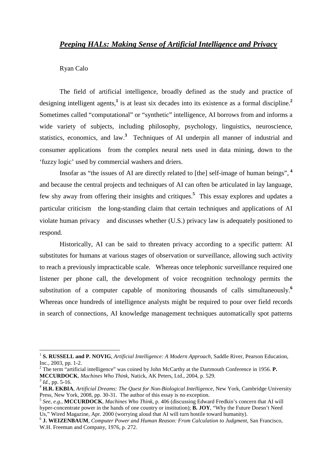# *Peeping HALs: Making Sense of Artificial Intelligence and Privacy*

## Ryan Calo

The field of artificial intelligence, broadly defined as the study and practice of designing intelligent agents,**<sup>1</sup>** is at least six decades into its existence as a formal discipline.**<sup>2</sup>** Sometimes called "computational" or "synthetic" intelligence, AI borrows from and informs a wide variety of subjects, including philosophy, psychology, linguistics, neuroscience, statistics, economics, and law.**<sup>3</sup>** Techniques of AI underpin all manner of industrial and consumer applications—from the complex neural nets used in data mining, down to the 'fuzzy logic' used by commercial washers and driers.

Insofar as "the issues of AI are directly related to [the] self-image of human beings",**<sup>4</sup>** and because the central projects and techniques of AI can often be articulated in lay language, few shy away from offering their insights and critiques.**<sup>5</sup>** This essay explores and updates a particular criticism—the long-standing claim that certain techniques and applications of AI violate human privacy—and discusses whether (U.S.) privacy law is adequately positioned to respond.

Historically, AI can be said to threaten privacy according to a specific pattern: AI substitutes for humans at various stages of observation or surveillance, allowing such activity to reach a previously impracticable scale. Whereas once telephonic surveillance required one listener per phone call, the development of voice recognition technology permits the substitution of a computer capable of monitoring thousands of calls simultaneously.**<sup>6</sup>** Whereas once hundreds of intelligence analysts might be required to pour over field records in search of connections, AI knowledge management techniques automatically spot patterns

<sup>&</sup>lt;sup>1</sup> S. RUSSELL and P. NOVIG, *Artificial Intelligence: A Modern Approach*, Saddle River, Pearson Education, Inc., 2003, pp. 1-2.

<sup>&</sup>lt;sup>2</sup> The term "artificial intelligence" was coined by John McCarthy at the Dartmouth Conference in 1956. **P. MCCURDOCK**, *Machines Who Think*, Natick, AK Peters, Ltd., 2004, p. 529.

<sup>3</sup> *Id.*, pp. 5-16.

<sup>4</sup> **H.R. EKBIA**, *Artificial Dreams: The Quest for Non-Biological Intelligence*, New York, Cambridge University Press, New York, 2008, pp. 30-31. The author of this essay is no exception.

<sup>5</sup> *See, e.g.*, **MCCURDOCK**, *Machines Who Think*, p. 406 (discussing Edward Fredkin's concern that AI will hyper-concentrate power in the hands of one country or institution); **B. JOY**, "Why the Future Doesn't Need Us," Wired Magazine, Apr. 2000 (worrying aloud that AI will turn hostile toward humanity).

<sup>6</sup>  **J. WEIZENBAUM**, *Computer Power and Human Reason: From Calculation to Judgment*, San Francisco, W.H. Freeman and Company, 1976, p. 272.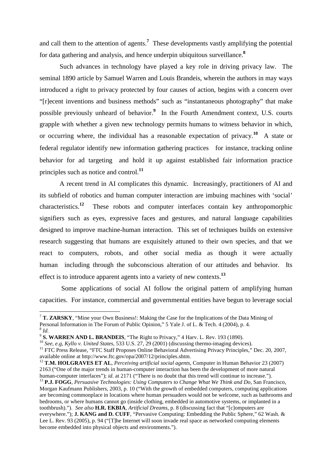and call them to the attention of agents.**<sup>7</sup>** These developments vastly amplifying the potential for data gathering and analysis, and hence underpin ubiquitous surveillance.**<sup>8</sup>**

Such advances in technology have played a key role in driving privacy law. The seminal 1890 article by Samuel Warren and Louis Brandeis, wherein the authors in may ways introduced a right to privacy protected by four causes of action, begins with a concern over "[r]ecent inventions and business methods" such as "instantaneous photography" that make possible previously unheard of behavior.**<sup>9</sup>** In the Fourth Amendment context, U.S. courts grapple with whether a given new technology permits humans to witness behavior in which, or occurring where, the individual has a reasonable expectation of privacy.**<sup>10</sup>** A state or federal regulator identify new information gathering practices-for instance, tracking online behavior for ad targeting—and hold it up against established fair information practice principles such as notice and control.**<sup>11</sup>**

A recent trend in AI complicates this dynamic. Increasingly, practitioners of AI and its subfield of robotics and human computer interaction are imbuing machines with 'social' characteristics.**<sup>12</sup>** These robots and computer interfaces contain key anthropomorphic signifiers such as eyes, expressive faces and gestures, and natural language capabilities designed to improve machine-human interaction. This set of techniques builds on extensive research suggesting that humans are exquisitely attuned to their own species, and that we react to computers, robots, and other social media as though it were actually human—including through the subconscious alteration of our attitudes and behavior. Its effect is to introduce apparent agents into a variety of new contexts.**<sup>13</sup>**

 Some applications of social AI follow the original pattern of amplifying human capacities. For instance, commercial and governmental entities have begun to leverage social

<sup>&</sup>lt;sup>7</sup> T. ZARSKY, "Mine your Own Business!: Making the Case for the Implications of the Data Mining of Personal Information in The Forum of Public Opinion," 5 Yale J. of L. & Tech. 4 (2004), p. 4. 8 *Id.* 

<sup>9</sup> **S. WARREN AND L. BRANDEIS**, "The Right to Privacy," 4 Harv. L. Rev. 193 (1890).

<sup>10</sup> *See, e.g, Kyllo v. United States*, 533 U.S. 27, 29 (2001) (discussing thermo-imaging devices).

<sup>&</sup>lt;sup>11</sup> FTC Press Release, "FTC Staff Proposes Online Behavioral Advertising Privacy Principles," Dec. 20, 2007, available online at http://www.ftc.gov/opa/2007/12/principles.shtm.

<sup>12</sup> **T.M. HOLGRAVES ET AL**, *Perceiving artificial social agents*, Computer in Human Behavior 23 (2007) 2163 ("One of the major trends in human-computer interaction has been the development of more natural human-computer interfaces"); *id.* at 2171 ("There is no doubt that this trend will continue to increase.").

<sup>13</sup> **P.J. FOGG**, *Persuasive Technologies: Using Computers to Change What We Think and Do,* San Francisco, Morgan Kaufmann Publishers, 2003, p. 10 ("With the growth of embedded computers, computing applications are becoming commonplace in locations where human persuaders would not be welcome, such as bathrooms and bedrooms, or where humans cannot go (inside clothing, embedded in automotive systems, or implanted in a toothbrush)."). *See also* **H.R. EKBIA**, *Artificial Dreams*, p. 8 (discussing fact that "[c]omputers are everywhere."); **J. KANG and D. CUFF**, "Pervasive Computing: Embedding the Public Sphere," 62 Wash. & Lee L. Rev. 93 (2005), p. 94 ("[T]he Internet will soon invade real space as networked computing elements become embedded into physical objects and environments.").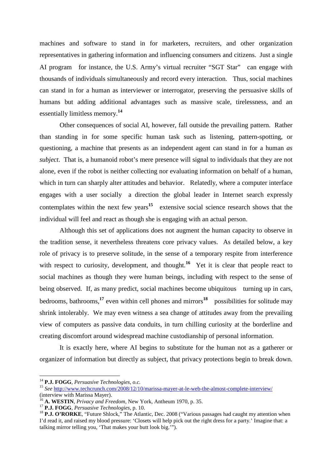machines and software to stand in for marketers, recruiters, and other organization representatives in gathering information and influencing consumers and citizens. Just a single AI program—for instance, the U.S. Army's virtual recruiter "SGT Star"—can engage with thousands of individuals simultaneously and record every interaction. Thus, social machines can stand in for a human as interviewer or interrogator, preserving the persuasive skills of humans but adding additional advantages such as massive scale, tirelessness, and an essentially limitless memory.**<sup>14</sup>**

Other consequences of social AI, however, fall outside the prevailing pattern. Rather than standing in for some specific human task such as listening, pattern-spotting, or questioning, a machine that presents as an independent agent can stand in for a human *as subject*. That is, a humanoid robot's mere presence will signal to individuals that they are not alone, even if the robot is neither collecting nor evaluating information on behalf of a human, which in turn can sharply alter attitudes and behavior. Relatedly, where a computer interface engages with a user socially—a direction the global leader in Internet search expressly contemplates within the next few years<sup>15</sup>—extensive social science research shows that the individual will feel and react as though she is engaging with an actual person.

Although this set of applications does not augment the human capacity to observe in the tradition sense, it nevertheless threatens core privacy values. As detailed below, a key role of privacy is to preserve solitude, in the sense of a temporary respite from interference with respect to curiosity, development, and thought.<sup>16</sup> Yet it is clear that people react to social machines as though they were human beings, including with respect to the sense of being observed. If, as many predict, social machines become ubiquitous—turning up in cars, bedrooms, bathrooms,<sup>17</sup> even within cell phones and mirrors<sup>18</sup>—possibilities for solitude may shrink intolerably. We may even witness a sea change of attitudes away from the prevailing view of computers as passive data conduits, in turn chilling curiosity at the borderline and creating discomfort around widespread machine custodianship of personal information.

It is exactly here, where AI begins to substitute for the human not as a gatherer or organizer of information but directly as subject, that privacy protections begin to break down.

<sup>14</sup> **P.J. FOGG**, *Persuasive Technologies*, *o.c.*

<sup>15</sup> *See* http://www.techcrunch.com/2008/12/10/marissa-mayer-at-le-web-the-almost-complete-interview/ (interview with Marissa Mayer).

<sup>16</sup> **A. WESTIN**, *Privacy and Freedom*, New York, Antheum 1970, p. 35.

<sup>17</sup> **P.J. FOGG**, *Persuasive Technologies*, p. 10.

<sup>&</sup>lt;sup>18</sup> P.J. O'RORKE, "Future Shlock," The Atlantic, Dec. 2008 ("Various passages had caught my attention when I'd read it, and raised my blood pressure: 'Closets will help pick out the right dress for a party.' Imagine that: a talking mirror telling you, 'That makes your butt look big.'").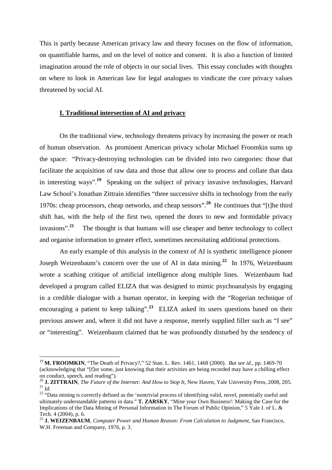This is partly because American privacy law and theory focuses on the flow of information, on quantifiable harms, and on the level of notice and consent. It is also a function of limited imagination around the role of objects in our social lives. This essay concludes with thoughts on where to look in American law for legal analogues to vindicate the core privacy values threatened by social AI.

# **I. Traditional intersection of AI and privacy**

On the traditional view, technology threatens privacy by increasing the power or reach of human observation. As prominent American privacy scholar Michael Froomkin sums up the space: "Privacy-destroying technologies can be divided into two categories: those that facilitate the acquisition of raw data and those that allow one to process and collate that data in interesting ways".**<sup>19</sup>** Speaking on the subject of privacy invasive technologies, Harvard Law School's Jonathan Zittrain identifies "three successive shifts in technology from the early 1970s: cheap processors, cheap networks, and cheap sensors".**<sup>20</sup>** He continues that "[t]he third shift has, with the help of the first two, opened the doors to new and formidable privacy invasions".**<sup>21</sup>** The thought is that humans will use cheaper and better technology to collect and organise information to greater effect, sometimes necessitating additional protections.

An early example of this analysis in the context of AI is synthetic intelligence pioneer Joseph Weizenbaum's concern over the use of AI in data mining.**<sup>22</sup>** In 1976, Weizenbaum wrote a scathing critique of artificial intelligence along multiple lines. Weizenbaum had developed a program called ELIZA that was designed to mimic psychoanalysis by engaging in a credible dialogue with a human operator, in keeping with the "Rogerian technique of encouraging a patient to keep talking".<sup>23</sup> ELIZA asked its users questions based on their previous answer and, where it did not have a response, merely supplied filler such as "I see" or "interesting". Weizenbaum claimed that he was profoundly disturbed by the tendency of

<sup>19</sup> **M. FROOMKIN**, "The Death of Privacy?," 52 Stan. L. Rev. 1461, 1468 (2000). *But see id.*, pp. 1469-70 (acknowledging that "[f]or some, just knowing that their activities are being recorded may have a chilling effect on conduct, speech, and reading").

<sup>20</sup> **J. ZITTRAIN**, *The Future of the Internet: And How to Stop It*, New Haven, Yale University Press, 2008, 205. <sup>21</sup> *Id.*

<sup>&</sup>lt;sup>22</sup> "Data mining is correctly defined as the 'nontrivial process of identifying valid, novel, potentially useful and ultimately understandable patterns in data." **T. ZARSKY**, "Mine your Own Business!: Making the Case for the Implications of the Data Mining of Personal Information in The Forum of Public Opinion," 5 Yale J. of L. & Tech. 4 (2004), p. 6.

<sup>23</sup> **J. WEIZENBAUM**, *Computer Power and Human Reason: From Calculation to Judgment*, San Francisco, W.H. Freeman and Company, 1976, p. 3.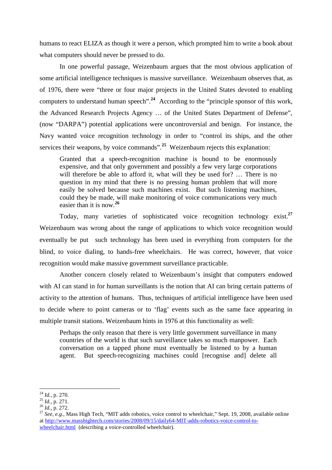humans to react ELIZA as though it were a person, which prompted him to write a book about what computers should never be pressed to do.

In one powerful passage, Weizenbaum argues that the most obvious application of some artificial intelligence techniques is massive surveillance. Weizenbaum observes that, as of 1976, there were "three or four major projects in the United States devoted to enabling computers to understand human speech".**<sup>24</sup>** According to the "principle sponsor of this work, the Advanced Research Projects Agency … of the United States Department of Defense", (now "DARPA") potential applications were uncontroversial and benign. For instance, the Navy wanted voice recognition technology in order to "control its ships, and the other services their weapons, by voice commands".<sup>25</sup> Weizenbaum rejects this explanation:

Granted that a speech-recognition machine is bound to be enormously expensive, and that only government and possibly a few very large corporations will therefore be able to afford it, what will they be used for? ... There is no question in my mind that there is no pressing human problem that will more easily be solved because such machines exist. But such listening machines, could they be made, will make monitoring of voice communications very much easier than it is now.**<sup>26</sup>**

 Today, many varieties of sophisticated voice recognition technology exist.**<sup>27</sup>** Weizenbaum was wrong about the range of applications to which voice recognition would eventually be put—such technology has been used in everything from computers for the blind, to voice dialing, to hands-free wheelchairs. He was correct, however, that voice recognition would make massive government surveillance practicable.

Another concern closely related to Weizenbaum's insight that computers endowed with AI can stand in for human surveillants is the notion that AI can bring certain patterns of activity to the attention of humans. Thus, techniques of artificial intelligence have been used to decide where to point cameras or to 'flag' events such as the same face appearing in multiple transit stations. Weizenbaum hints in 1976 at this functionality as well:

Perhaps the only reason that there is very little government surveillance in many countries of the world is that such surveillance takes so much manpower. Each conversation on a tapped phone must eventually be listened to by a human agent. But speech-recognizing machines could [recognise and] delete all

<sup>24</sup> *Id.*, p. 270.

<sup>25</sup> *Id.*, p. 271.

 $^{26}$  *Id.*, p. 272.

<sup>&</sup>lt;sup>27</sup> See, e.g., Mass High Tech, "MIT adds robotics, voice control to wheelchair," Sept. 19, 2008, available online at http://www.masshightech.com/stories/2008/09/15/daily64-MIT-adds-robotics-voice-control-towheelchair.html (describing a voice-controlled wheelchair).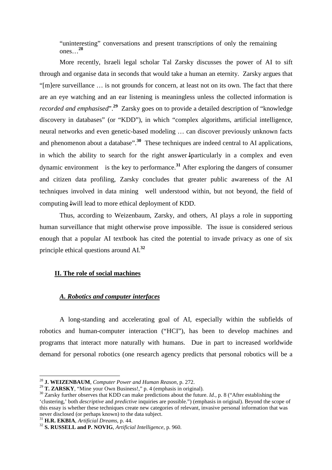"uninteresting" conversations and present transcriptions of only the remaining ones…**<sup>28</sup>**

More recently, Israeli legal scholar Tal Zarsky discusses the power of AI to sift through and organise data in seconds that would take a human an eternity. Zarsky argues that "[m]ere surveillance … is not grounds for concern, at least not on its own. The fact that there are an eye watching and an ear listening is meaningless unless the collected information is *recorded and emphasised*".**<sup>29</sup>** Zarsky goes on to provide a detailed description of "knowledge discovery in databases" (or "KDD"), in which "complex algorithms, artificial intelligence, neural networks and even genetic-based modeling … can discover previously unknown facts and phenomenon about a database".**<sup>30</sup>** These techniques are indeed central to AI applications, in which the ability to search for the right answer↓particularly in a complex and even dynamic environment-is the key to performance.<sup>31</sup> After exploring the dangers of consumer and citizen data profiling, Zarsky concludes that greater public awareness of the AI techniques involved in data mining—well understood within, but not beyond, the field of computing↓will lead to more ethical deployment of KDD.

Thus, according to Weizenbaum, Zarsky, and others, AI plays a role in supporting human surveillance that might otherwise prove impossible. The issue is considered serious enough that a popular AI textbook has cited the potential to invade privacy as one of six principle ethical questions around AI.**<sup>32</sup>**

# **II. The role of social machines**

## *A. Robotics and computer interfaces*

 A long-standing and accelerating goal of AI, especially within the subfields of robotics and human-computer interaction ("HCI"), has been to develop machines and programs that interact more naturally with humans. Due in part to increased worldwide demand for personal robotics (one research agency predicts that personal robotics will be a

<sup>28</sup> **J. WEIZENBAUM**, *Computer Power and Human Reason*, p. 272.

<sup>29</sup> **T. ZARSKY**, "Mine your Own Business!," p. 4 (emphasis in original).

<sup>&</sup>lt;sup>30</sup> Zarsky further observes that KDD can make predictions about the future. *Id.*, p. 8 ("After establishing the 'clustering,' both *descriptive* and *predictive* inquiries are possible.") (emphasis in original). Beyond the scope of this essay is whether these techniques create new categories of relevant, invasive personal information that was never disclosed (or perhaps known) to the data subject.

<sup>31</sup> **H.R. EKBIA**, *Artificial Dreams*, p. 44.

<sup>32</sup> **S. RUSSELL and P. NOVIG**, *Artificial Intelligence*, p. 960.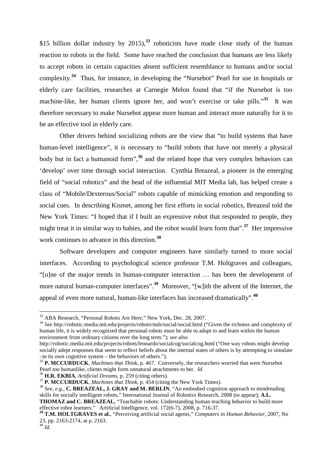\$15 billion dollar industry by 2015),**<sup>33</sup>** roboticists have made close study of the human reaction to robots in the field. Some have reached the conclusion that humans are less likely to accept robots in certain capacities absent sufficient resemblance to humans and/or social complexity.**<sup>34</sup>** Thus, for instance, in developing the "Nursebot" Pearl for use in hospitals or elderly care facilities, researches at Carnegie Melon found that "if the Nursebot is too machine-like, her human clients ignore her, and won't exercise or take pills.<sup>35</sup> It was therefore necessary to make Nursebot appear more human and interact more naturally for it to be an effective tool in elderly care.

Other drivers behind socializing robots are the view that "to build systems that have human-level intelligence", it is necessary to "build robots that have not merely a physical body but in fact a humanoid form",**<sup>36</sup>** and the related hope that very complex behaviors can 'develop' over time through social interaction. Cynthia Breazeal, a pioneer in the emerging field of "social robotics" and the head of the influential MIT Media lab, has helped create a class of "Mobile/Dexterous/Social" robots capable of mimicking emotion and responding to social cues. In describing Kismet, among her first efforts in social robotics, Breazeal told the New York Times: "I hoped that if I built an expressive robot that responded to people, they might treat it in similar way to babies, and the robot would learn form that".**<sup>37</sup>** Her impressive work continues to advance in this direction.**<sup>38</sup>**

Software developers and computer engineers have similarly turned to more social interfaces. According to psychological science professor T.M. Holtgraves and colleagues, "[o]ne of the major trends in human-computer interaction … has been the development of more natural human-computer interfaces".<sup>39</sup> Moreover, "[w]ith the advent of the Internet, the appeal of even more natural, human-like interfaces has increased dramatically".**<sup>40</sup>**

<sup>36</sup> **H.R. EKBIA**, *Artificial Dreams*, p. 259 (citing others).

<sup>40</sup> *Id.*

<sup>&</sup>lt;sup>33</sup> ABA Research, "Personal Robots Are Here," New York, Dec. 28, 2007.

<sup>34</sup> *See* http://robotic.media.mit.edu/projects/robots/mds/social/social.html ("Given the richness and complexity of human life, it is widely recognized that personal robots must be able to adapt to and learn within the human environment from ordinary citizens over the long term."); *see also*

http://robotic.media.mit.edu/projects/robots/leonardo/socialcog/socialcog.html ("One way robots might develop socially adept responses that seem to reflect beliefs about the internal states of others is by attempting to simulate –in its own cognitive system – the behaviors of others.").

<sup>35</sup> **P. MCCURDUCK**, *Machines that Think*, p. 467. Conversely, the researchers worried that were Nursebot Pearl *too* humanlike, clients might form unnatural attachments to her. *Id.*

<sup>37</sup> **P. MCCURDUCK**, *Machines that Think*, p. 454 (citing the New York Times).

<sup>&</sup>lt;sup>38</sup> *See, e.g.*, **C. BREAZEAL, J. GRAY and M. BERLIN**, "An embodied cognition approach to mindreading skills for socially intelligent robots," International Journal of Robotics Research, 2008 (to appear); **A.L. THOMAZ and C. BREAZEAL**, "Teachable robots: Understanding human teaching behavior to build more effective robot learners." Artificial Intelligence, vol. 172(6-7), 2008, p. 716-37.

**<sup>39</sup> T.M. HOLTGRAVES et al.**, "Perceiving artificial social agents," *Computers in Human Behavior*, 2007, No 23, pp. 2163-2174, at p. 2163.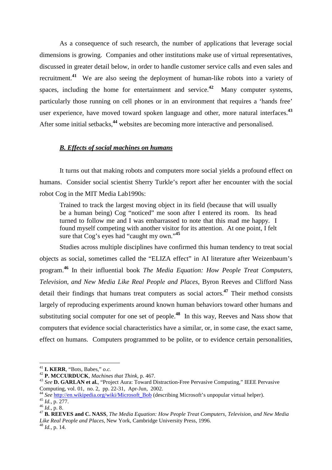As a consequence of such research, the number of applications that leverage social dimensions is growing. Companies and other institutions make use of virtual representatives, discussed in greater detail below, in order to handle customer service calls and even sales and recruitment.**<sup>41</sup>** We are also seeing the deployment of human-like robots into a variety of spaces, including the home for entertainment and service.**<sup>42</sup>** Many computer systems, particularly those running on cell phones or in an environment that requires a 'hands free' user experience, have moved toward spoken language and other, more natural interfaces.**<sup>43</sup>** After some initial setbacks,**<sup>44</sup>** websites are becoming more interactive and personalised.

# *B. Effects of social machines on humans*

It turns out that making robots and computers more social yields a profound effect on humans. Consider social scientist Sherry Turkle's report after her encounter with the social robot Cog in the MIT Media Lab1990s:

Trained to track the largest moving object in its field (because that will usually be a human being) Cog "noticed" me soon after I entered its room. Its head turned to follow me and I was embarrassed to note that this mad me happy. I found myself competing with another visitor for its attention. At one point, I felt sure that Cog's eyes had "caught my own."**<sup>45</sup>**

Studies across multiple disciplines have confirmed this human tendency to treat social objects as social, sometimes called the "ELIZA effect" in AI literature after Weizenbaum's program.**<sup>46</sup>** In their influential book *The Media Equation: How People Treat Computers, Television, and New Media Like Real People and Places*, Byron Reeves and Clifford Nass detail their findings that humans treat computers as social actors.**<sup>47</sup>** Their method consists largely of reproducing experiments around known human behaviors toward other humans and substituting social computer for one set of people.**<sup>48</sup>** In this way, Reeves and Nass show that computers that evidence social characteristics have a similar, or, in some case, the exact same, effect on humans. Computers programmed to be polite, or to evidence certain personalities,

<sup>41</sup> **I. KERR**, "Bots, Babes," *o.c.*

<sup>42</sup> **P. MCCURDUCK**, *Machines that Think*, p. 467.

<sup>43</sup> *See* **D. GARLAN et al.**, "Project Aura: Toward Distraction-Free Pervasive Computing," IEEE Pervasive Computing, vol. 01, no. 2, pp. 22-31, Apr-Jun, 2002.

<sup>&</sup>lt;sup>44</sup> See http://en.wikipedia.org/wiki/Microsoft\_Bob (describing Microsoft's unpopular virtual helper).

<sup>45</sup> *Id.*, p. 277.

<sup>46</sup> *Id.*, p. 8.

<sup>47</sup> **B. REEVES and C. NASS**, *The Media Equation: How People Treat Computers, Television, and New Media Like Real People and Places*, New York, Cambridge University Press, 1996.

<sup>48</sup> *Id.*, p. 14.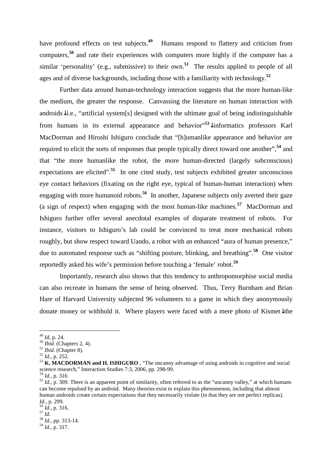have profound effects on test subjects.<sup>49</sup> Humans respond to flattery and criticism from computers,**<sup>50</sup>** and rate their experiences with computers more highly if the computer has a similar 'personality' (e.g., submissive) to their own.**<sup>51</sup>** The results applied to people of all ages and of diverse backgrounds, including those with a familiarity with technology.**<sup>52</sup>**

Further data around human-technology interaction suggests that the more human-like the medium, the greater the response. Canvassing the literature on human interaction with androids↓i.e., "artificial system[s] designed with the ultimate goal of being indistinguishable from humans in its external appearance and behavior" **<sup>53</sup>**↓informatics professors Karl MacDorman and Hiroshi Ishiguro conclude that "[h]umanlike appearance and behavior are required to elicit the sorts of responses that people typically direct toward one another",**<sup>54</sup>** and that "the more humanlike the robot, the more human-directed (largely subconscious) expectations are elicited".<sup>55</sup> In one cited study, test subjects exhibited greater unconscious eye contact behaviors (fixating on the right eye, typical of human-human interaction) when engaging with more humanoid robots.<sup>56</sup> In another, Japanese subjects only averted their gaze (a sign of respect) when engaging with the most human-like machines.**<sup>57</sup>** MacDorman and Ishiguro further offer several anecdotal examples of disparate treatment of robots. For instance, visitors to Ishiguro's lab could be convinced to treat more mechanical robots roughly, but show respect toward Uando, a robot with an enhanced "aura of human presence," due to automated response such as "shifting posture, blinking, and breathing".**<sup>58</sup>** One visitor reportedly asked his wife's permission before touching a 'female' robot.**<sup>59</sup>**

Importantly, research also shows that this tendency to anthropomorphise social media can also recreate in humans the sense of being observed. Thus, Terry Burnham and Brian Hare of Harvard University subjected 96 volunteers to a game in which they anonymously donate money or withhold it. Where players were faced with a mere photo of Kismet↓the

<sup>49</sup> *Id*, p. 24.

<sup>50</sup> *Ibid*. (Chapters 2, 4).

<sup>51</sup> *Ibid*. (Chapter 8).

<sup>52</sup> *Id.*, p. 252.

<sup>53</sup> **K. MACDORMAN and H. ISHIGURO** , "The uncanny advantage of using androids in cognitive and social science research," Interaction Studies 7:3, 2006, pp. 298-99.

<sup>54</sup> *Id.*, p. 316

<sup>55</sup> *Id.*, p. 309. There is an apparent point of similarity, often referred to as the "uncanny valley," at which humans can become repulsed by an android. Many theories exist to explain this phenomenon, including that almost human androids create certain expectations that they necessarily violate (in that they are not perfect replicas). *Id.*, p. 299.

<sup>56</sup> *Id*., p. 316.

<sup>57</sup> *Id*.

<sup>58</sup> *Id.*, pp. 313-14. <sup>59</sup> *Id.*, p. 317.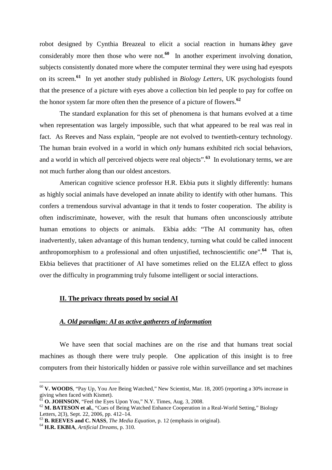robot designed by Cynthia Breazeal to elicit a social reaction in humans↓they gave considerably more then those who were not.<sup>60</sup> In another experiment involving donation, subjects consistently donated more where the computer terminal they were using had eyespots on its screen.**<sup>61</sup>** In yet another study published in *Biology Letters*, UK psychologists found that the presence of a picture with eyes above a collection bin led people to pay for coffee on the honor system far more often then the presence of a picture of flowers.**<sup>62</sup>**

The standard explanation for this set of phenomena is that humans evolved at a time when representation was largely impossible, such that what appeared to be real was real in fact. As Reeves and Nass explain, "people are not evolved to twentieth-century technology. The human brain evolved in a world in which *only* humans exhibited rich social behaviors, and a world in which *all* perceived objects were real objects".<sup>63</sup> In evolutionary terms, we are not much further along than our oldest ancestors.

American cognitive science professor H.R. Ekbia puts it slightly differently: humans as highly social animals have developed an innate ability to identify with other humans. This confers a tremendous survival advantage in that it tends to foster cooperation. The ability is often indiscriminate, however, with the result that humans often unconsciously attribute human emotions to objects or animals. Ekbia adds: "The AI community has, often inadvertently, taken advantage of this human tendency, turning what could be called innocent anthropomorphism to a professional and often unjustified, technoscientific one".<sup>64</sup> That is, Ekbia believes that practitioner of AI have sometimes relied on the ELIZA effect to gloss over the difficulty in programming truly fulsome intelligent or social interactions.

## **II. The privacy threats posed by social AI**

# *A. Old paradigm: AI as active gatherers of information*

We have seen that social machines are on the rise and that humans treat social machines as though there were truly people. One application of this insight is to free computers from their historically hidden or passive role within surveillance and set machines

<sup>60</sup> **V. WOODS**, "Pay Up, You Are Being Watched," New Scientist, Mar. 18, 2005 (reporting a 30% increase in giving when faced with Kismet).

<sup>61</sup> **O. JOHNSON**, "Feel the Eyes Upon You," N.Y. Times, Aug. 3, 2008.

<sup>62</sup> **M. BATESON et al.**, "Cues of Being Watched Enhance Cooperation in a Real-World Setting," Biology Letters, 2(3), Sept. 22, 2006, pp. 412–14.

<sup>63</sup> **B. REEVES and C. NASS**, *The Media Equation*, p. 12 (emphasis in original).

<sup>64</sup> **H.R. EKBIA**, *Artificial Dreams*, p. 310.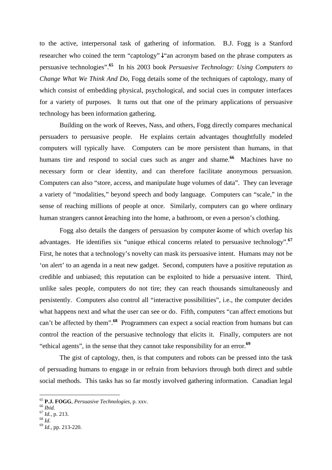to the active, interpersonal task of gathering of information. B.J. Fogg is a Stanford researcher who coined the term "captology"↓"an acronym based on the phrase computers as persuasive technologies".**<sup>65</sup>** In his 2003 book *Persuasive Technology: Using Computers to Change What We Think And Do*, Fogg details some of the techniques of captology, many of which consist of embedding physical, psychological, and social cues in computer interfaces for a variety of purposes. It turns out that one of the primary applications of persuasive technology has been information gathering.

 Building on the work of Reeves, Nass, and others, Fogg directly compares mechanical persuaders to persuasive people. He explains certain advantages thoughtfully modeled computers will typically have. Computers can be more persistent than humans, in that humans tire and respond to social cues such as anger and shame.<sup>66</sup> Machines have no necessary form or clear identity, and can therefore facilitate anonymous persuasion. Computers can also "store, access, and manipulate huge volumes of data". They can leverage a variety of "modalities," beyond speech and body language. Computers can "scale," in the sense of reaching millions of people at once. Similarly, computers can go where ordinary human strangers cannot reaching into the home, a bathroom, or even a person's clothing.

Fogg also details the dangers of persuasion by computer↓some of which overlap his advantages. He identifies six "unique ethical concerns related to persuasive technology".**<sup>67</sup>** First, he notes that a technology's novelty can mask its persuasive intent. Humans may not be 'on alert' to an agenda in a neat new gadget. Second, computers have a positive reputation as credible and unbiased; this reputation can be exploited to hide a persuasive intent. Third, unlike sales people, computers do not tire; they can reach thousands simultaneously and persistently. Computers also control all "interactive possibilities", i.e., the computer decides what happens next and what the user can see or do. Fifth, computers "can affect emotions but can't be affected by them".**<sup>68</sup>** Programmers can expect a social reaction from humans but can control the reaction of the persuasive technology that elicits it. Finally, computers are not "ethical agents", in the sense that they cannot take responsibility for an error.**<sup>69</sup>**

The gist of captology, then, is that computers and robots can be pressed into the task of persuading humans to engage in or refrain from behaviors through both direct and subtle social methods. This tasks has so far mostly involved gathering information. Canadian legal

<sup>65</sup> **P.J. FOGG**, *Persuasive Technologies*, p. xxv.

<sup>66</sup> *Ibid.*

<sup>67</sup> *Id.*, p. 213.

<sup>68</sup> *Id.*

<sup>69</sup> *Id.*, pp. 213-220.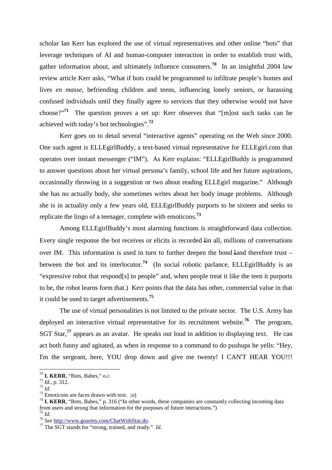scholar Ian Kerr has explored the use of virtual representatives and other online "bots" that leverage techniques of AI and human-computer interaction in order to establish trust with, gather information about, and ultimately influence consumers.**<sup>70</sup>** In an insightful 2004 law review article Kerr asks, "What if bots could be programmed to infiltrate people's homes and lives *en masse*, befriending children and teens, influencing lonely seniors, or harassing confused individuals until they finally agree to services that they otherwise would not have choose?"**<sup>71</sup>** The question proves a set up: Kerr observes that "[m]ost such tasks can be achieved with today's bot technologies".**<sup>72</sup>**

 Kerr goes on to detail several "interactive agents" operating on the Web since 2000. One such agent is ELLEgirlBuddy, a text-based virtual representative for ELLEgirl.com that operates over instant messenger ("IM"). As Kerr explains: "ELLEgirlBuddy is programmed to answer questions about her virtual persona's family, school life and her future aspirations, occasionally throwing in a suggestion or two about reading ELLEgirl magazine." Although she has no actually body, she sometimes writes about her body image problems. Although she is in actuality only a few years old, ELLEgirlBuddy purports to be sixteen and seeks to replicate the lingo of a teenager, complete with emoticons.**<sup>73</sup>**

 Among ELLEgirlBuddy's most alarming functions is straightforward data collection. Every single response the bot receives or elicits is recorded↓in all, millions of conversations over IM. This information is used in turn to further deepen the bond↓and therefore trust – between the bot and its interlocutor.<sup>74</sup> (In social robotic parlance, ELLEgirlBuddy is an "expressive robot that respond[s] to people" and, when people treat it like the teen it purports to be, the robot learns form that.) Kerr points that the data has other, commercial value in that it could be used to target advertisements.**<sup>75</sup>**

The use of virtual personalities is not limited to the private sector. The U.S. Army has deployed an interactive virtual representative for its recruitment website.**<sup>76</sup>** The program, SGT Star,**<sup>77</sup>** appears as an avatar. He speaks out loud in addition to displaying text. He can act both funny and agitated, as when in response to a command to do pushups he yells: "Hey, I'm the sergeant, here, YOU drop down and give me twenty! I CAN'T HEAR YOU!!!

<sup>70</sup> **I. KERR**, "Bots, Babes," *o.c.*

<sup>71</sup> *Id.*, p. 312.

 $72 \frac{100}{10}$ 

 $73$  Emoticons are faces drawn with text. ;o)

<sup>&</sup>lt;sup>74</sup> I. KERR, "Bots, Babes," p. 316 ("In other words, these companies are constantly collecting incoming data from users and strong that information for the purposes of future interactions.") <sup>75</sup> *Id.*

<sup>76</sup> *See* http://www.goarmy.com/ChatWithStar.do.

<sup>77</sup> The SGT stands for "strong, trained, and ready." *Id.*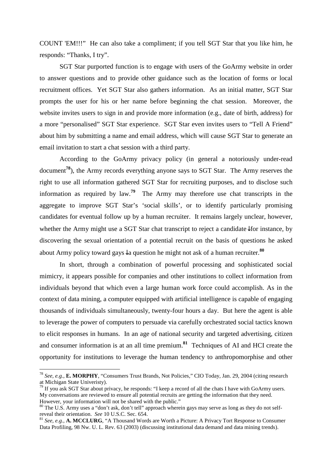COUNT 'EM!!!" He can also take a compliment; if you tell SGT Star that you like him, he responds: "Thanks, I try".

SGT Star purported function is to engage with users of the GoArmy website in order to answer questions and to provide other guidance such as the location of forms or local recruitment offices. Yet SGT Star also gathers information. As an initial matter, SGT Star prompts the user for his or her name before beginning the chat session. Moreover, the website invites users to sign in and provide more information (e.g., date of birth, address) for a more "personalised" SGT Star experience. SGT Star even invites users to "Tell A Friend" about him by submitting a name and email address, which will cause SGT Star to generate an email invitation to start a chat session with a third party.

According to the GoArmy privacy policy (in general a notoriously under-read document**<sup>78</sup>**), the Army records everything anyone says to SGT Star. The Army reserves the right to use all information gathered SGT Star for recruiting purposes, and to disclose such information as required by law.**<sup>79</sup>** The Army may therefore use chat transcripts in the aggregate to improve SGT Star's 'social skills', or to identify particularly promising candidates for eventual follow up by a human recruiter. It remains largely unclear, however, whether the Army might use a SGT Star chat transcript to reject a candidate↓for instance, by discovering the sexual orientation of a potential recruit on the basis of questions he asked about Army policy toward gays↓a question he might not ask of a human recruiter.**<sup>80</sup>**

In short, through a combination of powerful processing and sophisticated social mimicry, it appears possible for companies and other institutions to collect information from individuals beyond that which even a large human work force could accomplish. As in the context of data mining, a computer equipped with artificial intelligence is capable of engaging thousands of individuals simultaneously, twenty-four hours a day. But here the agent is able to leverage the power of computers to persuade via carefully orchestrated social tactics known to elicit responses in humans. In an age of national security and targeted advertising, citizen and consumer information is at an all time premium.**<sup>81</sup>** Techniques of AI and HCI create the opportunity for institutions to leverage the human tendency to anthropomorphise and other

<sup>78</sup> *See, e.g.*, **E. MORPHY**, "Consumers Trust Brands, Not Policies," CIO Today, Jan. 29, 2004 (citing research at Michigan State Univeristy).

 $^{79}$  If you ask SGT Star about privacy, he responds: "I keep a record of all the chats I have with GoArmy users. My conversations are reviewed to ensure all potential recruits are getting the information that they need. However, your information will not be shared with the public."

<sup>&</sup>lt;sup>80</sup> The U.S. Army uses a "don't ask, don't tell" approach wherein gays may serve as long as they do not selfreveal their orientation. *See* 10 U.S.C. Sec. 654.

<sup>81</sup> *See, e.g.,* **A. MCCLURG**, "A Thousand Words are Worth a Picture: A Privacy Tort Response to Consumer Data Profiling, 98 Nw. U. L. Rev. 63 (2003) (discussing institutional data demand and data mining trends).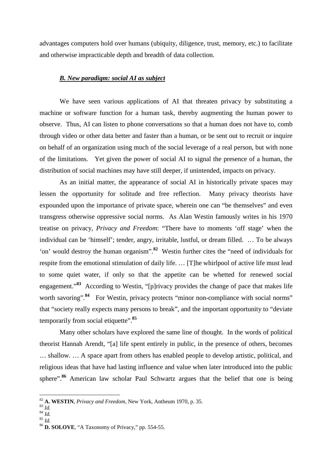advantages computers hold over humans (ubiquity, diligence, trust, memory, etc.) to facilitate and otherwise impracticable depth and breadth of data collection.

## *B. New paradigm: social AI as subject*

 We have seen various applications of AI that threaten privacy by substituting a machine or software function for a human task, thereby augmenting the human power to observe. Thus, AI can listen to phone conversations so that a human does not have to, comb through video or other data better and faster than a human, or be sent out to recruit or inquire on behalf of an organization using much of the social leverage of a real person, but with none of the limitations. Yet given the power of social AI to signal the presence of a human, the distribution of social machines may have still deeper, if unintended, impacts on privacy.

As an initial matter, the appearance of social AI in historically private spaces may lessen the opportunity for solitude and free reflection. Many privacy theorists have expounded upon the importance of private space, wherein one can "be themselves" and even transgress otherwise oppressive social norms. As Alan Westin famously writes in his 1970 treatise on privacy, *Privacy and Freedom*: "There have to moments 'off stage' when the individual can be 'himself'; tender, angry, irritable, lustful, or dream filled. … To be always 'on' would destroy the human organism".**<sup>82</sup>** Westin further cites the "need of individuals for respite from the emotional stimulation of daily life. … [T]he whirlpool of active life must lead to some quiet water, if only so that the appetite can be whetted for renewed social engagement."**<sup>83</sup>** According to Westin, "[p]rivacy provides the change of pace that makes life worth savoring".<sup>84</sup> For Westin, privacy protects "minor non-compliance with social norms" that "society really expects many persons to break", and the important opportunity to "deviate temporarily from social etiquette".<sup>85</sup>

Many other scholars have explored the same line of thought. In the words of political theorist Hannah Arendt, "[a] life spent entirely in public, in the presence of others, becomes … shallow. … A space apart from others has enabled people to develop artistic, political, and religious ideas that have had lasting influence and value when later introduced into the public sphere".**<sup>86</sup>** American law scholar Paul Schwartz argues that the belief that one is being

 $\overline{a}$ 

 $^{84}$  *Id.*  $rac{1}{100}$ 

<sup>82</sup> **A. WESTIN**, *Privacy and Freedom*, New York, Antheum 1970, p. 35.

 $^{83}$   $^{111}$ <sub>d.</sub>

<sup>86</sup> **D. SOLOVE**, "A Taxonomy of Privacy," pp. 554-55.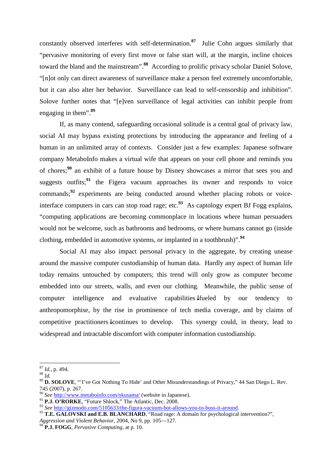constantly observed interferes with self-determination.**<sup>87</sup>** Julie Cohn argues similarly that "pervasive monitoring of every first move or false start will, at the margin, incline choices toward the bland and the mainstream".**<sup>88</sup>** According to prolific privacy scholar Daniel Solove, "[n]ot only can direct awareness of surveillance make a person feel extremely uncomfortable, but it can also alter her behavior. Surveillance can lead to self-censorship and inhibition". Solove further notes that "[e]ven surveillance of legal activities can inhibit people from engaging in them".**<sup>89</sup>**

If, as many contend, safeguarding occasional solitude is a central goal of privacy law, social AI may bypass existing protections by introducing the appearance and feeling of a human in an unlimited array of contexts. Consider just a few examples: Japanese software company MetaboInfo makes a virtual wife that appears on your cell phone and reminds you of chores;**<sup>90</sup>** an exhibit of a future house by Disney showcases a mirror that sees you and suggests outfits;**<sup>91</sup>** the Figera vacuum approaches its owner and responds to voice commands;**<sup>92</sup>** experiments are being conducted around whether placing robots or voiceinterface computers in cars can stop road rage; etc. **<sup>93</sup>** As captology expert BJ Fogg explains, "computing applications are becoming commonplace in locations where human persuaders would not be welcome, such as bathrooms and bedrooms, or where humans cannot go (inside clothing, embedded in automotive systems, or implanted in a toothbrush)".**<sup>94</sup>**

Social AI may also impact personal privacy in the aggregate, by creating unease around the massive computer custodianship of human data. Hardly any aspect of human life today remains untouched by computers; this trend will only grow as computer become embedded into our streets, walls, and even our clothing. Meanwhile, the public sense of computer intelligence and evaluative capabilities↓fueled by our tendency to anthropomorphise, by the rise in prominence of tech media coverage, and by claims of competitive practitioners↓continues to develop. This synergy could, in theory, lead to widespread and intractable discomfort with computer information custodianship.

<sup>88</sup> *Id.*

<sup>87</sup> *Id.*, p. 494.

<sup>89</sup> **D. SOLOVE**, "'I've Got Nothing To Hide' and Other Misunderstandings of Privacy," 44 San Diego L. Rev. 745 (2007), p. 267.

<sup>90</sup> *See* http://www.metaboinfo.com/okusama/ (website in Japanese).

<sup>&</sup>lt;sup>91</sup> P.J. O'RORKE, "Future Shlock," The Atlantic, Dec. 2008.

<sup>92</sup> *See* http://gizmodo.com/5105633/the-figura-vacuum-bot-allows-you-to-boss-it-around.

<sup>&</sup>lt;sup>93</sup> T.E. GALOVSKI and E.B. BLANCHARD, "Road rage: A domain for psychological intervention?",

*Aggression and Violent Behavior*, 2004, No 9, pp. 105—127.

<sup>94</sup> **P.J. FOGG**, *Pervasive Computing*, at p. 10.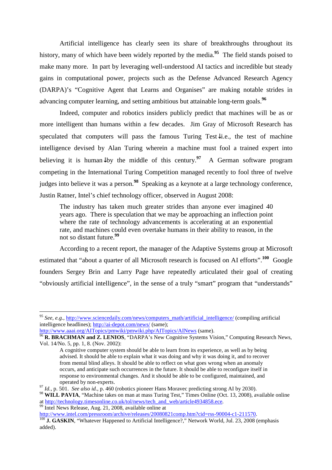Artificial intelligence has clearly seen its share of breakthroughs throughout its history, many of which have been widely reported by the media.<sup>95</sup> The field stands poised to make many more. In part by leveraging well-understood AI tactics and incredible but steady gains in computational power, projects such as the Defense Advanced Research Agency (DARPA)'s "Cognitive Agent that Learns and Organises" are making notable strides in advancing computer learning, and setting ambitious but attainable long-term goals.**<sup>96</sup>**

Indeed, computer and robotics insiders publicly predict that machines will be as or more intelligent than humans within a few decades. Jim Gray of Microsoft Research has speculated that computers will pass the famous Turing Test↓i.e., the test of machine intelligence devised by Alan Turing wherein a machine must fool a trained expert into believing it is human by the middle of this century.<sup>97</sup> A German software program competing in the International Turing Competition managed recently to fool three of twelve judges into believe it was a person.**<sup>98</sup>** Speaking as a keynote at a large technology conference, Justin Ratner, Intel's chief technology officer, observed in August 2008:

The industry has taken much greater strides than anyone ever imagined 40 years ago. There is speculation that we may be approaching an inflection point where the rate of technology advancements is accelerating at an exponential rate, and machines could even overtake humans in their ability to reason, in the not so distant future.**<sup>99</sup>**

According to a recent report, the manager of the Adaptive Systems group at Microsoft estimated that "about a quarter of all Microsoft research is focused on AI efforts".<sup>100</sup> Google founders Sergey Brin and Larry Page have repeatedly articulated their goal of creating "obviously artificial intelligence", in the sense of a truly "smart" program that "understands"

<sup>99</sup> Intel News Release, Aug. 21, 2008, available online at

 $\overline{a}$ 

http://www.intel.com/pressroom/archive/releases/20080821comp.htm?cid=rss-90004-c1-211570.

<sup>&</sup>lt;sup>95</sup> See, e.g., http://www.sciencedaily.com/news/computers\_math/artificial\_intelligence/ (compiling artificial intelligence headlines); http://ai-depot.com/news/ (same);

http://www.aaai.org/AITopics/pmwiki/pmwiki.php/AITopics/AINews (same).

<sup>96</sup> **R. BRACHMAN and Z. LENIOS**, "DARPA's New Cognitive Systems Vision," Computing Research News, Vol. 14/No. 5, pp. 1, 8. (Nov. 2002):

A cognitive computer system should be able to learn from its experience, as well as by being advised. It should be able to explain what it was doing and why it was doing it, and to recover from mental blind alleys. It should be able to reflect on what goes wrong when an anomaly occurs, and anticipate such occurrences in the future. It should be able to reconfigure itself in response to environmental changes. And it should be able to be configured, maintained, and operated by non-experts.

<sup>97</sup> *Id.*, p. 501. *See also id.*, p. 460 (robotics pioneer Hans Moravec predicting strong AI by 2030).

<sup>&</sup>lt;sup>98</sup> WILL PAVIA, "Machine takes on man at mass Turing Test," Times Online (Oct. 13, 2008), available online at http://technology.timesonline.co.uk/tol/news/tech\_and\_web/article4934858.ece.

<sup>&</sup>lt;sup>100</sup> J. GASKIN, "Whatever Happened to Artificial Intelligence?," Network World, Jul. 23, 2008 (emphasis added).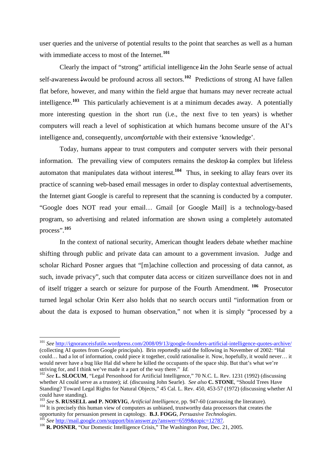user queries and the universe of potential results to the point that searches as well as a human with immediate access to most of the Internet.**<sup>101</sup>**

Clearly the impact of "strong" artificial intelligence↓in the John Searle sense of actual self-awareness↓would be profound across all sectors.**<sup>102</sup>** Predictions of strong AI have fallen flat before, however, and many within the field argue that humans may never recreate actual intelligence.**<sup>103</sup>** This particularly achievement is at a minimum decades away. A potentially more interesting question in the short run (i.e., the next five to ten years) is whether computers will reach a level of sophistication at which humans become unsure of the AI's intelligence and, consequently, *uncomfortable* with their extensive 'knowledge'.

Today, humans appear to trust computers and computer servers with their personal information. The prevailing view of computers remains the desktop↓a complex but lifeless automaton that manipulates data without interest.**<sup>104</sup>** Thus, in seeking to allay fears over its practice of scanning web-based email messages in order to display contextual advertisements, the Internet giant Google is careful to represent that the scanning is conducted by a computer. "Google does NOT read your email… Gmail [or Google Mail] is a technology-based program, so advertising and related information are shown using a completely automated process".**<sup>105</sup>**

In the context of national security, American thought leaders debate whether machine shifting through public and private data can amount to a government invasion. Judge and scholar Richard Posner argues that "[m]achine collection and processing of data cannot, as such, invade privacy", such that computer data access or citizen surveillance does not in and of itself trigger a search or seizure for purpose of the Fourth Amendment.**<sup>106</sup>** Prosecutor turned legal scholar Orin Kerr also holds that no search occurs until "information from or about the data is exposed to human observation," not when it is simply "processed by a

<sup>101</sup> *See* http://ignoranceisfutile.wordpress.com/2008/09/13/google-founders-artificial-intelligence-quotes-archive/ (collecting AI quotes from Google principals). Brin reportedly said the following in November of 2002: "Hal could… had a lot of information, could piece it together, could rationalise it. Now, hopefully, it would never… it would never have a bug like Hal did where he killed the occupants of the space ship. But that's what we're striving for, and I think we've made it a part of the way there." *Id.*

<sup>102</sup> *See* **L. SLOCUM**, "Legal Personhood for Artificial Intelligence," 70 N.C. L. Rev. 1231 (1992) (discussing whether AI could serve as a trustee); *id*. (discussing John Searle). *See also* **C. STONE**, "Should Trees Have Standing? Toward Legal Rights for Natural Objects," 45 Cal. L. Rev. 450, 453-57 (1972) (discussing whether AI could have standing).

<sup>103</sup> *See* **S. RUSSELL and P. NORVIG**, *Artificial Intelligence*, pp. 947-60 (canvassing the literature). <sup>104</sup> It is precisely this human view of computers as unbiased, trustworthy data processors that creates the opportunity for persuasion present in captology. **B.J. FOGG**, *Persuasive Technologies*.

<sup>105</sup> *See* http://mail.google.com/support/bin/answer.py?answer=6599&topic=12787.

<sup>&</sup>lt;sup>106</sup> **R. POSNER**, "Our Domestic Intelligence Crisis," The Washington Post, Dec. 21, 2005.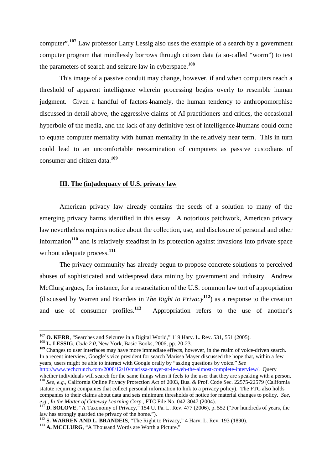computer".**<sup>107</sup>** Law professor Larry Lessig also uses the example of a search by a government computer program that mindlessly borrows through citizen data (a so-called "worm") to test the parameters of search and seizure law in cyberspace. **108**

This image of a passive conduit may change, however, if and when computers reach a threshold of apparent intelligence wherein processing begins overly to resemble human judgment. Given a handful of factors↓namely, the human tendency to anthropomorphise discussed in detail above, the aggressive claims of AI practitioners and critics, the occasional hyperbole of the media, and the lack of any definitive test of intelligence↓humans could come to equate computer mentality with human mentality in the relatively near term. This in turn could lead to an uncomfortable reexamination of computers as passive custodians of consumer and citizen data.**<sup>109</sup>**

#### **III. The (in)adequacy of U.S. privacy law**

American privacy law already contains the seeds of a solution to many of the emerging privacy harms identified in this essay. A notorious patchwork, American privacy law nevertheless requires notice about the collection, use, and disclosure of personal and other information**<sup>110</sup>** and is relatively steadfast in its protection against invasions into private space without adequate process.**<sup>111</sup>**

The privacy community has already begun to propose concrete solutions to perceived abuses of sophisticated and widespread data mining by government and industry. Andrew McClurg argues, for instance, for a resuscitation of the U.S. common law tort of appropriation (discussed by Warren and Brandeis in *The Right to Privacy***<sup>112</sup>**) as a response to the creation and use of consumer profiles.**<sup>113</sup>** Appropriation refers to the use of another's

 $\overline{a}$ 

<sup>109</sup> Changes to user interfaces may have more immediate effects, however, in the realm of voice-driven search. In a recent interview, Google's vice president for search Marissa Mayer discussed the hope that, within a few years, users might be able to interact with Google orally by "asking questions by voice." *See*  http://www.techcrunch.com/2008/12/10/marissa-mayer-at-le-web-the-almost-complete-interview/. Query

whether individuals will search for the same things when it feels to the user that they are speaking with a person. <sup>110</sup> *See, e.g.*, California Online Privacy Protection Act of 2003, Bus. & Prof. Code Sec. 22575-22579 (California

statute requiring companies that collect personal information to link to a privacy policy). The FTC also holds companies to their claims about data and sets minimum thresholds of notice for material changes to policy. *See, e.g*., *In the Matter of Gateway Learning Corp.*, FTC File No. 042-3047 (2004).

<sup>&</sup>lt;sup>107</sup> O. KERR, "Searches and Seizures in a Digital World," 119 Harv. L. Rev. 531, 551 (2005).

<sup>108</sup> **L. LESSIG**, *Code 2.0*, New York, Basic Books, 2006, pp. 20-23.

<sup>111</sup> **D. SOLOVE**, "A Taxonomy of Privacy," 154 U. Pa. L. Rev. 477 (2006), p. 552 ("For hundreds of years, the law has strongly guarded the privacy of the home.").

<sup>112</sup> **S. WARREN AND L. BRANDEIS**, "The Right to Privacy," 4 Harv. L. Rev. 193 (1890).

<sup>&</sup>lt;sup>113</sup> A. MCCLURG, "A Thousand Words are Worth a Picture."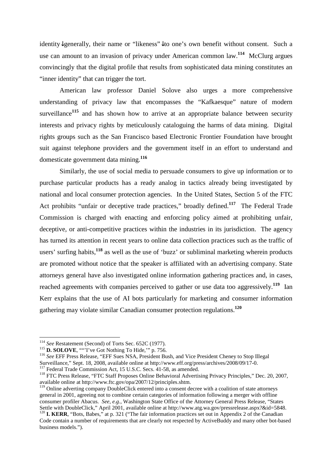identity↓generally, their name or "likeness"↓to one's own benefit without consent. Such a use can amount to an invasion of privacy under American common law.**<sup>114</sup>** McClurg argues convincingly that the digital profile that results from sophisticated data mining constitutes an "inner identity" that can trigger the tort.

American law professor Daniel Solove also urges a more comprehensive understanding of privacy law that encompasses the "Kafkaesque" nature of modern surveillance<sup>115</sup> and has shown how to arrive at an appropriate balance between security interests and privacy rights by meticulously cataloguing the harms of data mining. Digital rights groups such as the San Francisco based Electronic Frontier Foundation have brought suit against telephone providers and the government itself in an effort to understand and domesticate government data mining.**<sup>116</sup>**

Similarly, the use of social media to persuade consumers to give up information or to purchase particular products has a ready analog in tactics already being investigated by national and local consumer protection agencies. In the United States, Section 5 of the FTC Act prohibits "unfair or deceptive trade practices," broadly defined.**<sup>117</sup>** The Federal Trade Commission is charged with enacting and enforcing policy aimed at prohibiting unfair, deceptive, or anti-competitive practices within the industries in its jurisdiction. The agency has turned its attention in recent years to online data collection practices such as the traffic of users' surfing habits,**<sup>118</sup>** as well as the use of 'buzz' or subliminal marketing wherein products are promoted without notice that the speaker is affiliated with an advertising company. State attorneys general have also investigated online information gathering practices and, in cases, reached agreements with companies perceived to gather or use data too aggressively.**<sup>119</sup>** Ian Kerr explains that the use of AI bots particularly for marketing and consumer information gathering may violate similar Canadian consumer protection regulations.**<sup>120</sup>**

 $\overline{a}$ 

<sup>119</sup> Online adverting company DoubleClick entered into a consent decree with a coalition of state attorneys general in 2001, agreeing not to combine certain categories of information following a merger with offline consumer profiler Abacus. *See, e.g.*, Washington State Office of the Attorney General Press Release, "States Settle with DoubleClick," April 2001, available online at http://www.atg.wa.gov/pressrelease.aspx?&id=5848. <sup>120</sup> **I. KERR**, "Bots, Babes," at p. 321 ("The fair information practices set out in Appendix 2 of the Canadian Code contain a number of requirements that are clearly not respected by ActiveBuddy and many other bot-based business models.").

<sup>114</sup> *See* Restatement (Second) of Torts Sec. 652C (1977).

<sup>&</sup>lt;sup>115</sup> **D. SOLOVE**, ""I've Got Nothing To Hide," p. 756.

<sup>116</sup> *See* EFF Press Release, "EFF Sues NSA, President Bush, and Vice President Cheney to Stop Illegal Surveillance," Sept. 18, 2008, available online at http://www.eff.org/press/archives/2008/09/17-0.

<sup>&</sup>lt;sup>117</sup> Federal Trade Commission Act, 15 U.S.C. Secs. 41-58, as amended.

<sup>118</sup> FTC Press Release, "FTC Staff Proposes Online Behavioral Advertising Privacy Principles," Dec. 20, 2007, available online at http://www.ftc.gov/opa/2007/12/principles.shtm.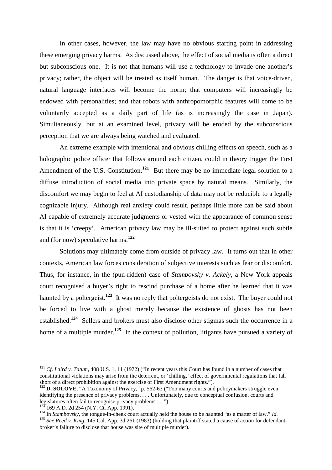In other cases, however, the law may have no obvious starting point in addressing these emerging privacy harms. As discussed above, the effect of social media is often a direct but subconscious one. It is not that humans will use a technology to invade one another's privacy; rather, the object will be treated as itself human. The danger is that voice-driven, natural language interfaces will become the norm; that computers will increasingly be endowed with personalities; and that robots with anthropomorphic features will come to be voluntarily accepted as a daily part of life (as is increasingly the case in Japan). Simultaneously, but at an examined level, privacy will be eroded by the subconscious perception that we are always being watched and evaluated.

An extreme example with intentional and obvious chilling effects on speech, such as a holographic police officer that follows around each citizen, could in theory trigger the First Amendment of the U.S. Constitution.<sup>121</sup> But there may be no immediate legal solution to a diffuse introduction of social media into private space by natural means. Similarly, the discomfort we may begin to feel at AI custodianship of data may not be reducible to a legally cognizable injury. Although real anxiety could result, perhaps little more can be said about AI capable of extremely accurate judgments or vested with the appearance of common sense is that it is 'creepy'. American privacy law may be ill-suited to protect against such subtle and (for now) speculative harms.**<sup>122</sup>**

Solutions may ultimately come from outside of privacy law. It turns out that in other contexts, American law forces consideration of subjective interests such as fear or discomfort. Thus, for instance, in the (pun-ridden) case of *Stambovsky v. Ackely*, a New York appeals court recognised a buyer's right to rescind purchase of a home after he learned that it was haunted by a poltergeist.**<sup>123</sup>** It was no reply that poltergeists do not exist. The buyer could not be forced to live with a ghost merely because the existence of ghosts has not been established.**<sup>124</sup>** Sellers and brokers must also disclose other stigmas such the occurrence in a home of a multiple murder.<sup>125</sup> In the context of pollution, litigants have pursued a variety of

<sup>121</sup> *Cf*. *Laird v. Tatum*, 408 U.S. 1, 11 (1972) ("In recent years this Court has found in a number of cases that constitutional violations may arise from the deterrent, or 'chilling,' effect of governmental regulations that fall short of a direct prohibition against the exercise of First Amendment rights.").

<sup>&</sup>lt;sup>122</sup> **D. SOLOVE**, "A Taxonomy of Privacy," p. 562-63 ("Too many courts and policymakers struggle even identifying the presence of privacy problems. . . . Unfortunately, due to conceptual confusion, courts and legislatures often fail to recognise privacy problems . . .").

<sup>169</sup> A.D. 2d 254 (N.Y. Ct. App. 1991).

<sup>109</sup> A.D. 20 234 (18.1), C. App. 1771).<br><sup>124</sup> In *Stambovsky*, the tongue-in-cheek court actually held the house to be haunted "as a matter of law." *Id.* 

<sup>&</sup>lt;sup>125</sup> *See Reed v. King*, 145 Cal. App. 3d 261 (1983) (holding that plaintiff stated a cause of action for defendantbroker's failure to disclose that house was site of multiple murder).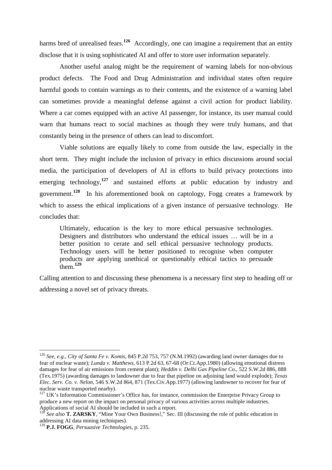harms bred of unrealised fears.<sup>126</sup> Accordingly, one can imagine a requirement that an entity disclose that it is using sophisticated AI and offer to store user information separately.

Another useful analog might be the requirement of warning labels for non-obvious product defects. The Food and Drug Administration and individual states often require harmful goods to contain warnings as to their contents, and the existence of a warning label can sometimes provide a meaningful defense against a civil action for product liability. Where a car comes equipped with an active AI passenger, for instance, its user manual could warn that humans react to social machines as though they were truly humans, and that constantly being in the presence of others can lead to discomfort.

Viable solutions are equally likely to come from outside the law, especially in the short term. They might include the inclusion of privacy in ethics discussions around social media, the participation of developers of AI in efforts to build privacy protections into emerging technology,<sup>127</sup> and sustained efforts at public education by industry and government.**<sup>128</sup>** In his aforementioned book on captology, Fogg creates a framework by which to assess the ethical implications of a given instance of persuasive technology. He concludes that:

Ultimately, education is the key to more ethical persuasive technologies. Designers and distributors who understand the ethical issues … will be in a better position to cerate and sell ethical persuasive technology products. Technology users will be better positioned to recognise when computer products are applying unethical or questionably ethical tactics to persuade  $\frac{1}{1}$ them<sup>129</sup>

Calling attention to and discussing these phenomena is a necessary first step to heading off or addressing a novel set of privacy threats.

<sup>126</sup> *See, e.g., City of Santa Fe v. Komis*, 845 P.2d 753, 757 (N.M.1992) (awarding land owner damages due to fear of nuclear waste); *Lunda v. Matthews*, 613 P.2d 63, 67-68 (Or.Ct.App.1980) (allowing emotional distress damages for fear of air emissions from cement plant); *Heddin v. Delhi Gas Pipeline Co*., 522 S.W.2d 886, 888 (Tex.1975) (awarding damages to landowner due to fear that pipeline on adjoining land would explode); *Texas Elec. Serv. Co. v. Nelon*, 546 S.W.2d 864, 871 (Tex.Civ.App.1977) (allowing landowner to recover for fear of nuclear waste transported nearby).

<sup>&</sup>lt;sup>127</sup> UK's Information Commissioner's Office has, for instance, commission the Enterprise Privacy Group to produce a new report on the impact on personal privacy of various activities across multiple industries. Applications of social AI should be included in such a report.

See also **T. ZARSKY**, "Mine Your Own Business!," Sec. III (discussing the role of public education in addressing AI data mining techniques).

<sup>129</sup> **P.J. FOGG**, *Persuasive Technologies*, p. 235.